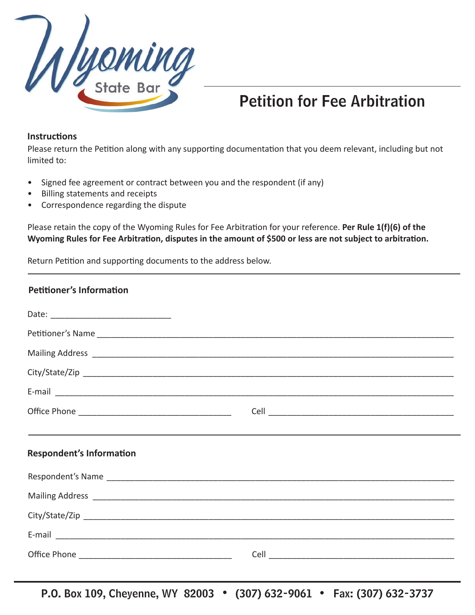

## Petition for Fee Arbitration

## **InstrucƟ ons**

Please return the Petition along with any supporting documentation that you deem relevant, including but not limited to:

- Signed fee agreement or contract between you and the respondent (if any)
- Billing statements and receipts
- Correspondence regarding the dispute

Please retain the copy of the Wyoming Rules for Fee Arbitration for your reference. Per Rule 1(f)(6) of the **Wyoming Rules for Fee Arbitration, disputes in the amount of \$500 or less are not subject to arbitration.** 

Return Petition and supporting documents to the address below.

## **Petitioner's Information**

| ,我们也不会有什么。""我们的人,我们也不会有什么?""我们的人,我们也不会有什么?""我们的人,我们也不会有什么?""我们的人,我们也不会有什么?""我们的人 |  |  |  |
|----------------------------------------------------------------------------------|--|--|--|
| <b>Respondent's Information</b>                                                  |  |  |  |
|                                                                                  |  |  |  |
|                                                                                  |  |  |  |
|                                                                                  |  |  |  |
|                                                                                  |  |  |  |
|                                                                                  |  |  |  |

P.O. Box 109, Cheyenne, WY 82003 • (307) 632-9061 • Fax: (307) 632-3737